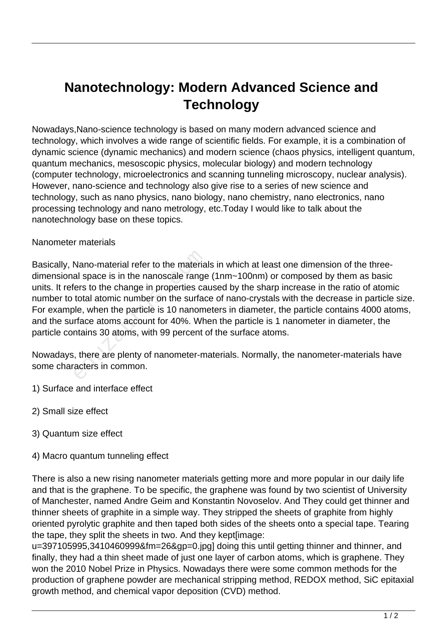## **Nanotechnology: Modern Advanced Science and Technology**

Nowadays,Nano-science technology is based on many modern advanced science and technology, which involves a wide range of scientific fields. For example, it is a combination of dynamic science (dynamic mechanics) and modern science (chaos physics, intelligent quantum, quantum mechanics, mesoscopic physics, molecular biology) and modern technology (computer technology, microelectronics and scanning tunneling microscopy, nuclear analysis). However, nano-science and technology also give rise to a series of new science and technology, such as nano physics, nano biology, nano chemistry, nano electronics, nano processing technology and nano metrology, etc.Today I would like to talk about the nanotechnology base on these topics.

## Nanometer materials

Basically, Nano-material refer to the materials in which at least one dimension of the threedimensional space is in the nanoscale range (1nm~100nm) or composed by them as basic units. It refers to the change in properties caused by the sharp increase in the ratio of atomic number to total atomic number on the surface of nano-crystals with the decrease in particle size. For example, when the particle is 10 nanometers in diameter, the particle contains 4000 atoms, and the surface atoms account for 40%. When the particle is 1 nanometer in diameter, the particle contains 30 atoms, with 99 percent of the surface atoms. Nano-material refer to the materia<br>al space is in the nanoscale range<br>ers to the change in properties ca<br>total atomic number on the surfac<br>le, when the particle is 10 nanom<br>rface atoms account for 40%. Wh<br>ntains 30 atoms,

Nowadays, there are plenty of nanometer-materials. Normally, the nanometer-materials have some characters in common.

- 1) Surface and interface effect
- 2) Small size effect
- 3) Quantum size effect
- 4) Macro quantum tunneling effect

There is also a new rising nanometer materials getting more and more popular in our daily life and that is the graphene. To be specific, the graphene was found by two scientist of University of Manchester, named Andre Geim and Konstantin Novoselov. And They could get thinner and thinner sheets of graphite in a simple way. They stripped the sheets of graphite from highly oriented pyrolytic graphite and then taped both sides of the sheets onto a special tape. Tearing the tape, they split the sheets in two. And they kept[image:

u=397105995,3410460999&fm=26&gp=0.jpg] doing this until getting thinner and thinner, and finally, they had a thin sheet made of just one layer of carbon atoms, which is graphene. They won the 2010 Nobel Prize in Physics. Nowadays there were some common methods for the production of graphene powder are mechanical stripping method, REDOX method, SiC epitaxial growth method, and chemical vapor deposition (CVD) method.